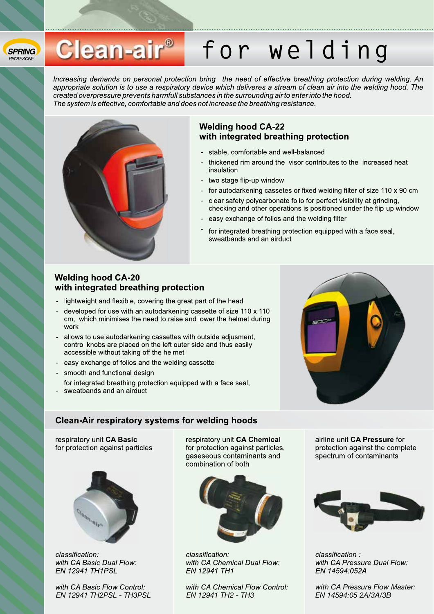#### **SPRING PROTEZIONE**

## Clean-air<sup>®</sup> for welding

Increasing demands on personal protection bring the need of effective breathing protection during welding. An appropriate solution is to use a respiratory device which deliveres a stream of clean air into the welding hood. The created overpressure prevents harmfull substances in the surrounding air to enter into the hood. The system is effective, comfortable and does not increase the breathing resistance.



#### **Welding hood CA-22** with integrated breathing protection

- stable, comfortable and well-balanced
- thickened rim around the visor contributes to the increased heat insulation

- two stage flip-up window
- for autodarkening cassetes or fixed welding filter of size 110 x 90 cm  $\overline{a}$
- clear safety polycarbonate folio for perfect visibility at grinding. checking and other operations is positioned under the flip-up window
- easy exchange of folios and the welding filter
- for integrated breathing protection equipped with a face seal. sweatbands and an airduct

#### **Welding hood CA-20** with integrated breathing protection

- lightweight and flexible, covering the great part of the head
- developed for use with an autodarkening cassette of size 110 x 110 cm, which minimises the need to raise and lower the helmet during work
- allows to use autodarkening cassettes with outside adjusment, control knobs are placed on the left outer side and thus easily accessible without taking off the helmet
- easy exchange of folios and the welding cassette
- smooth and functional design
- for integrated breathing protection equipped with a face seal,
- sweatbands and an airduct

#### **Clean-Air respiratory systems for welding hoods**

respiratory unit CA Basic for protection against particles



classification: with CA Basic Dual Flow: EN 12941 TH1PSL

with CA Basic Flow Control: EN 12941 TH2PSL - TH3PSL respiratory unit CA Chemical for protection against particles, gaseseous contaminants and combination of both



classification: with CA Chemical Dual Flow: EN 12941 TH1

with CA Chemical Flow Control: EN 12941 TH2 - TH3

airline unit CA Pressure for protection against the complete spectrum of contaminants



classification: with CA Pressure Dual Flow: EN 14594:052A

with CA Pressure Flow Master: EN 14594:05 2A/3A/3B

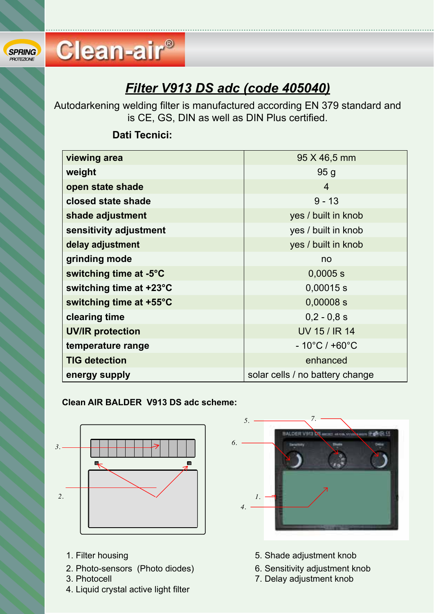### *Filter V913 DS adc (code 405040)* **Filtro Cliente and Code.**<br>Filtro Cliente and Code and consults FN 07

Autodarkening welding filter is manufactured according EN 379 standard and is CE, GS, DIN as well as DIN Plus certified.

| viewing area            | 95 X 46,5 mm                       |
|-------------------------|------------------------------------|
| weight                  | 95 <sub>g</sub>                    |
| open state shade        | $\overline{4}$                     |
| closed state shade      | $9 - 13$                           |
| shade adjustment        | yes / built in knob                |
| sensitivity adjustment  | yes / built in knob                |
| delay adjustment        | yes / built in knob                |
| grinding mode           | no                                 |
| switching time at -5°C  | $0,0005$ s                         |
| switching time at +23°C | $0,00015$ s                        |
| switching time at +55°C | $0,00008$ s                        |
| clearing time           | $0,2 - 0,8 s$                      |
| <b>UV/IR protection</b> | <b>UV 15 / IR 14</b>               |
| temperature range       | $-10^{\circ}$ C / +60 $^{\circ}$ C |
| <b>TIG detection</b>    | enhanced                           |
| energy supply           | solar cells / no battery change    |
|                         |                                    |

#### **Filtro autoscurante per saldatura conforme alle norme EN 379 ed è CE, GS, DIN come pure Dati Tecnici:**

Clean-air<sup>®</sup>

## **Schema Clean AIR BALDER V913 DS adc : Clean AIR BALDER V913 DS adc scheme:**



- 
- 2. Photo-sensors (Photo diodes) 6. Sensitivity adjustment knob
- 
- 4. Liquid crystal active light filter



- 1. Filter housing 1. Shade adjustment knob
	-
- 3. Photocell **7. Delay adjustment knob 7.** Regolazione scuro/chiaro tempo di commutazione scuro/chiaro di communisticone scuro/chiaro di commutazione scuro/chiaro di commutazione scuro/chiaro di commutazione scuro/chiaro

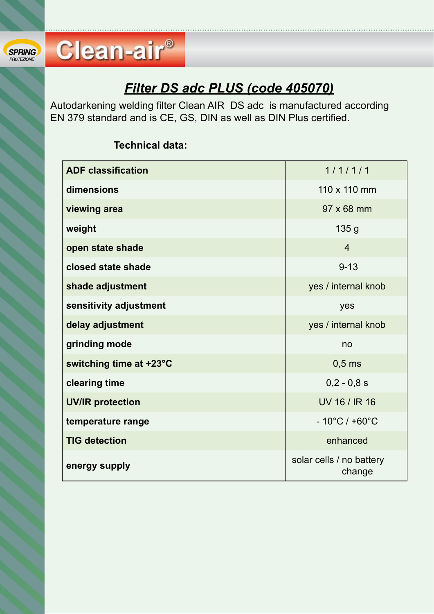## *Filter DS adc PLUS (code 405070)*

Autodarkening welding filter Clean AIR DS adc is manufactured according EN 379 standard and is CE, GS, DIN as well as DIN Plus certified.

### **Technical data:**

**Clean-air®** 

| <b>ADF classification</b> | 1/1/1/1                            |
|---------------------------|------------------------------------|
| dimensions                | 110 x 110 mm                       |
| viewing area              | 97 x 68 mm                         |
| weight                    | 135 <sub>g</sub>                   |
| open state shade          | $\overline{4}$                     |
| closed state shade        | $9 - 13$                           |
| shade adjustment          | yes / internal knob                |
| sensitivity adjustment    | yes                                |
| delay adjustment          | yes / internal knob                |
| grinding mode             | no                                 |
| switching time at +23°C   | $0,5$ ms                           |
| clearing time             | $0,2 - 0,8 s$                      |
| <b>UV/IR protection</b>   | UV 16 / IR 16                      |
| temperature range         | $-10^{\circ}$ C / +60 $^{\circ}$ C |
| <b>TIG detection</b>      | enhanced                           |
| energy supply             | solar cells / no battery<br>change |